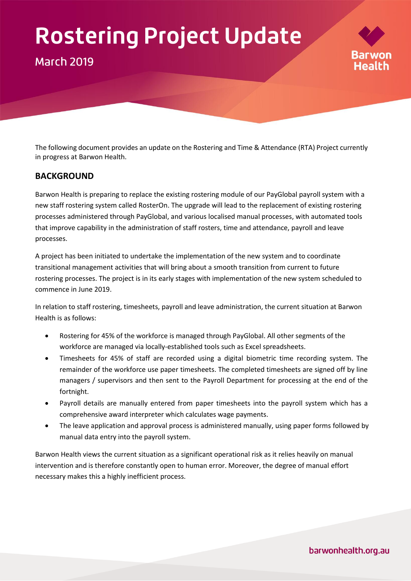# **Rostering Project Update**

# **March 2019**

The following document provides an update on the Rostering and Time & Attendance (RTA) Project currently in progress at Barwon Health.

# **BACKGROUND**

Barwon Health is preparing to replace the existing rostering module of our PayGlobal payroll system with a new staff rostering system called RosterOn. The upgrade will lead to the replacement of existing rostering processes administered through PayGlobal, and various localised manual processes, with automated tools that improve capability in the administration of staff rosters, time and attendance, payroll and leave processes.

A project has been initiated to undertake the implementation of the new system and to coordinate transitional management activities that will bring about a smooth transition from current to future rostering processes. The project is in its early stages with implementation of the new system scheduled to commence in June 2019.

In relation to staff rostering, timesheets, payroll and leave administration, the current situation at Barwon Health is as follows:

- Rostering for 45% of the workforce is managed through PayGlobal. All other segments of the workforce are managed via locally-established tools such as Excel spreadsheets.
- Timesheets for 45% of staff are recorded using a digital biometric time recording system. The remainder of the workforce use paper timesheets. The completed timesheets are signed off by line managers / supervisors and then sent to the Payroll Department for processing at the end of the fortnight.
- Payroll details are manually entered from paper timesheets into the payroll system which has a comprehensive award interpreter which calculates wage payments.
- The leave application and approval process is administered manually, using paper forms followed by manual data entry into the payroll system.

Barwon Health views the current situation as a significant operational risk as it relies heavily on manual intervention and is therefore constantly open to human error. Moreover, the degree of manual effort necessary makes this a highly inefficient process.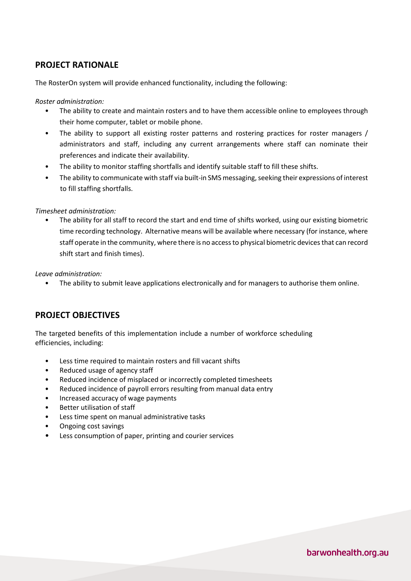# **PROJECT RATIONALE**

The RosterOn system will provide enhanced functionality, including the following:

*Roster administration:* 

- The ability to create and maintain rosters and to have them accessible online to employees through their home computer, tablet or mobile phone.
- The ability to support all existing roster patterns and rostering practices for roster managers / administrators and staff, including any current arrangements where staff can nominate their preferences and indicate their availability.
- The ability to monitor staffing shortfalls and identify suitable staff to fill these shifts.
- The ability to communicate with staff via built-in SMS messaging, seeking their expressions of interest to fill staffing shortfalls.

#### *Timesheet administration:*

• The ability for all staff to record the start and end time of shifts worked, using our existing biometric time recording technology. Alternative means will be available where necessary (for instance, where staff operate in the community, where there is no access to physical biometric devices that can record shift start and finish times).

*Leave administration:* 

• The ability to submit leave applications electronically and for managers to authorise them online.

### **PROJECT OBJECTIVES**

The targeted benefits of this implementation include a number of workforce scheduling efficiencies, including:

- Less time required to maintain rosters and fill vacant shifts
- Reduced usage of agency staff
- Reduced incidence of misplaced or incorrectly completed timesheets
- Reduced incidence of payroll errors resulting from manual data entry
- Increased accuracy of wage payments
- Better utilisation of staff
- Less time spent on manual administrative tasks
- Ongoing cost savings
- Less consumption of paper, printing and courier services